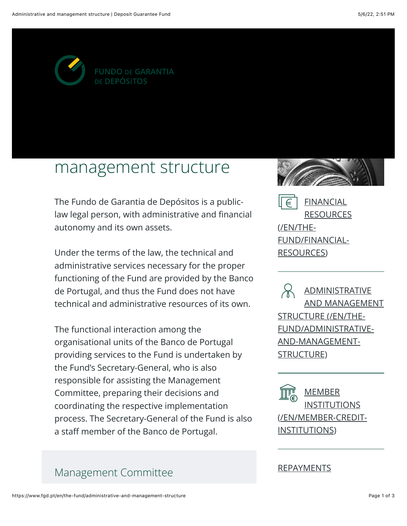

# management structure

The Fundo de Garantia de Depósitos is a publiclaw legal person, with administrative and financial autonomy and its own assets.

Under the terms of the law, the technical and administrative services necessary for the proper functioning of the Fund are provided by the Banco de Portugal, and thus the Fund does not have technical and administrative resources of its own.

The functional interaction among the organisational units of the Banco de Portugal providing services to the Fund is undertaken by the Fund's Secretary-General, who is also responsible for assisting the Management Committee, preparing their decisions and coordinating the respective implementation process. The Secretary-General of the Fund is also a staff member of the Banco de Portugal.

## Management Committee



**FINANCIAL RESOURCES** (/EN/THE-FUND/FINANCIAL-**RESOURCES)** 

**ADMINISTRATIVE AND MANAGEMENT STRUCTURE (/EN/THE-**FUND/ADMINISTRATIVE-AND-MANAGEMENT-**STRUCTURE)** 



#### **REPAYMENTS**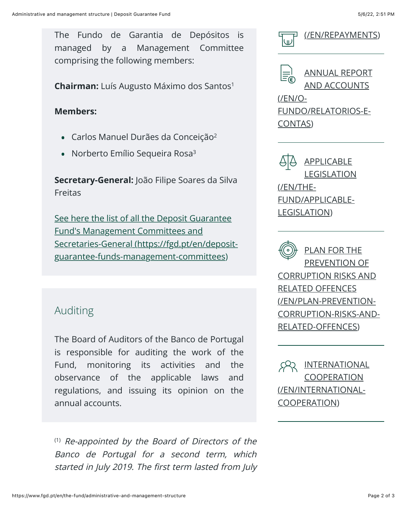Chairman: Luís Augusto Máximo dos Santos<sup>1</sup>

### **Members:**

- Carlos Manuel Durães da Conceição<sup>2</sup>
- Norberto Emílio Sequeira Rosa<sup>3</sup>

Secretary-General: João Filipe Soares da Silva **Freitas** 

See here the list of all the Deposit Guarantee **Fund's Management Committees and** Secretaries-General (https://fgd.pt/en/depositguarantee-funds-management-committees)

## Auditing

The Board of Auditors of the Banco de Portugal is responsible for auditing the work of the Fund, monitoring its activities and the observance of the applicable laws and regulations, and issuing its opinion on the annual accounts.

<sup>(1)</sup> Re-appointed by the Board of Directors of the Banco de Portugal for a second term, which started in July 2019. The first term lasted from July





ANNUAL REPORT **AND ACCOUNTS** 

 $($ /EN/O-FUNDO/RELATORIOS-E-CONTAS)

**APPLICABLE LEGISLATION** (/EN/THE-FUND/APPLICABLE-**LEGISLATION)** 

**PLAN FOR THE** PREVENTION OF **CORRUPTION RISKS AND RELATED OFFENCES** (/EN/PLAN-PREVENTION-CORRUPTION-RISKS-AND-**RELATED-OFFENCES)** 

**INTERNATIONAL COOPERATION** (/EN/INTERNATIONAL-**COOPERATION)**